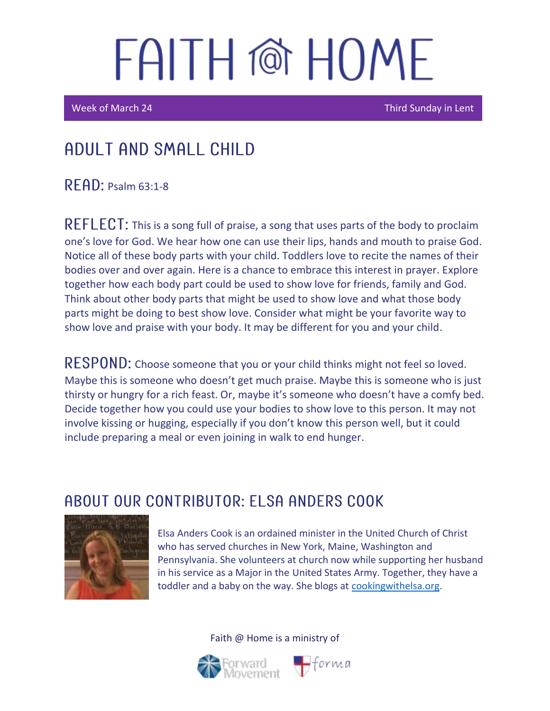# FAITH @ HOME

Week of March 24 Third Sunday in Lent

### Adult and Small Child

 $R$   $F$  A $D$ : Psalm 63:1-8

REFLECT: This is a song full of praise, a song that uses parts of the body to proclaim one's love for God. We hear how one can use their lips, hands and mouth to praise God. Notice all of these body parts with your child. Toddlers love to recite the names of their bodies over and over again. Here is a chance to embrace this interest in prayer. Explore together how each body part could be used to show love for friends, family and God. Think about other body parts that might be used to show love and what those body parts might be doing to best show love. Consider what might be your favorite way to show love and praise with your body. It may be different for you and your child.

RESPOND: Choose someone that you or your child thinks might not feel so loved. Maybe this is someone who doesn't get much praise. Maybe this is someone who is just thirsty or hungry for a rich feast. Or, maybe it's someone who doesn't have a comfy bed. Decide together how you could use your bodies to show love to this person. It may not involve kissing or hugging, especially if you don't know this person well, but it could include preparing a meal or even joining in walk to end hunger.

### ABOUT OUR CONTRIBUTOR: ELSA ANDERS COOK



Elsa Anders Cook is an ordained minister in the United Church of Christ who has served churches in New York, Maine, Washington and Pennsylvania. She volunteers at church now while supporting her husband in his service as a Major in the United States Army. Together, they have a toddler and a baby on the way. She blogs at [cookingwithelsa.org.](https://cookingwithelsa.org/)



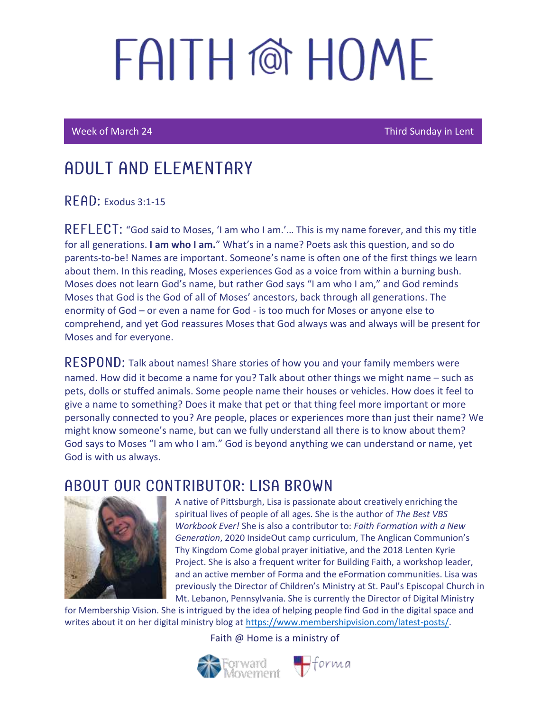# FAITH @ HOMF

Ī

I

Week of March 24 Third Sunday in Lent

### ADUI T AND FI FMFNTARY

 $R$   $F$  $AD$ : Exodus 3:1-15

REFLECT: "God said to Moses, 'I am who I am.'... This is my name forever, and this my title for all generations. **I am who I am.**" What's in a name? Poets ask this question, and so do parents-to-be! Names are important. Someone's name is often one of the first things we learn about them. In this reading, Moses experiences God as a voice from within a burning bush. Moses does not learn God's name, but rather God says "I am who I am," and God reminds Moses that God is the God of all of Moses' ancestors, back through all generations. The enormity of God – or even a name for God - is too much for Moses or anyone else to comprehend, and yet God reassures Moses that God always was and always will be present for Moses and for everyone.

RESPOND: Talk about names! Share stories of how you and your family members were named. How did it become a name for you? Talk about other things we might name – such as pets, dolls or stuffed animals. Some people name their houses or vehicles. How does it feel to give a name to something? Does it make that pet or that thing feel more important or more personally connected to you? Are people, places or experiences more than just their name? We might know someone's name, but can we fully understand all there is to know about them? God says to Moses "I am who I am." God is beyond anything we can understand or name, yet God is with us always.

#### ABOUT OUR CONTRIBUTOR: LISA BROWN



A native of Pittsburgh, Lisa is passionate about creatively enriching the spiritual lives of people of all ages. She is the author of *The Best VBS Workbook Ever!* She is also a contributor to: *Faith Formation with a New Generation*, 2020 InsideOut camp curriculum, The Anglican Communion's Thy Kingdom Come global prayer initiative, and the 2018 Lenten Kyrie Project. She is also a frequent writer for Building Faith, a workshop leader, and an active member of Forma and the eFormation communities. Lisa was previously the Director of Children's Ministry at St. Paul's Episcopal Church in Mt. Lebanon, Pennsylvania. She is currently the Director of Digital Ministry

for Membership Vision. She is intrigued by the idea of helping people find God in the digital space and writes about it on her digital ministry blog at [https://www.membershipvision.com/latest-posts/.](https://www.membershipvision.com/latest-posts/)

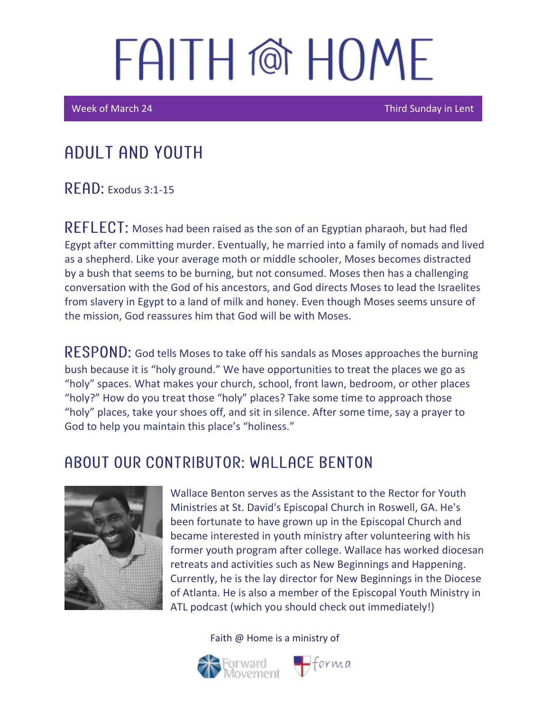## FAITH @ HOME

Week of March 24 Third Sunday in Lent

### Adult and youth

 $R$   $F$   $R$  $D$ : Exodus 3:1-15

REFLECT: Moses had been raised as the son of an Egyptian pharaoh, but had fled Egypt after committing murder. Eventually, he married into a family of nomads and lived as a shepherd. Like your average moth or middle schooler, Moses becomes distracted by a bush that seems to be burning, but not consumed. Moses then has a challenging conversation with the God of his ancestors, and God directs Moses to lead the Israelites from slavery in Egypt to a land of milk and honey. Even though Moses seems unsure of the mission, God reassures him that God will be with Moses.

RESPOND: God tells Moses to take off his sandals as Moses approaches the burning bush because it is "holy ground." We have opportunities to treat the places we go as "holy" spaces. What makes your church, school, front lawn, bedroom, or other places "holy?" How do you treat those "holy" places? Take some time to approach those "holy" places, take your shoes off, and sit in silence. After some time, say a prayer to God to help you maintain this place's "holiness."

### A BOUT OUR CONTRIBUTOR: WALL ACE BENTON



Wallace Benton serves as the Assistant to the Rector for Youth Ministries at St. David's Episcopal Church in Roswell, GA. He's been fortunate to have grown up in the Episcopal Church and became interested in youth ministry after volunteering with his former youth program after college. Wallace has worked diocesan retreats and activities such as New Beginnings and Happening. Currently, he is the lay director for New Beginnings in the Diocese of Atlanta. He is also a member of the Episcopal Youth Ministry in ATL podcast (which you should check out immediately!)